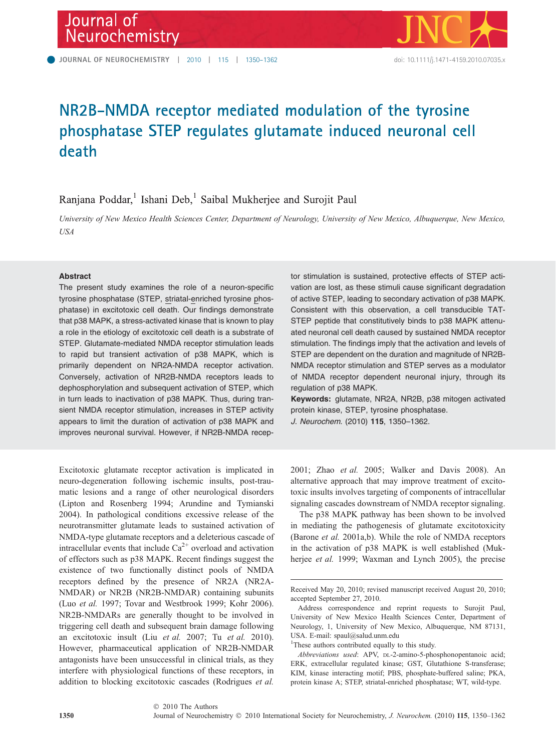

# NR2B-NMDA receptor mediated modulation of the tyrosine phosphatase STEP regulates glutamate induced neuronal cell death

## Ranjana Poddar,<sup>1</sup> Ishani Deb,<sup>1</sup> Saibal Mukherjee and Surojit Paul

University of New Mexico Health Sciences Center, Department of Neurology, University of New Mexico, Albuquerque, New Mexico, USA

#### **Abstract**

The present study examines the role of a neuron-specific tyrosine phosphatase (STEP, striatal-enriched tyrosine phosphatase) in excitotoxic cell death. Our findings demonstrate that p38 MAPK, a stress-activated kinase that is known to play a role in the etiology of excitotoxic cell death is a substrate of STEP. Glutamate-mediated NMDA receptor stimulation leads to rapid but transient activation of p38 MAPK, which is primarily dependent on NR2A-NMDA receptor activation. Conversely, activation of NR2B-NMDA receptors leads to dephosphorylation and subsequent activation of STEP, which in turn leads to inactivation of p38 MAPK. Thus, during transient NMDA receptor stimulation, increases in STEP activity appears to limit the duration of activation of p38 MAPK and improves neuronal survival. However, if NR2B-NMDA recep-

Excitotoxic glutamate receptor activation is implicated in neuro-degeneration following ischemic insults, post-traumatic lesions and a range of other neurological disorders (Lipton and Rosenberg 1994; Arundine and Tymianski 2004). In pathological conditions excessive release of the neurotransmitter glutamate leads to sustained activation of NMDA-type glutamate receptors and a deleterious cascade of intracellular events that include  $Ca^{2+}$  overload and activation of effectors such as p38 MAPK. Recent findings suggest the existence of two functionally distinct pools of NMDA receptors defined by the presence of NR2A (NR2A-NMDAR) or NR2B (NR2B-NMDAR) containing subunits (Luo et al. 1997; Tovar and Westbrook 1999; Kohr 2006). NR2B-NMDARs are generally thought to be involved in triggering cell death and subsequent brain damage following an excitotoxic insult (Liu et al. 2007; Tu et al. 2010). However, pharmaceutical application of NR2B-NMDAR antagonists have been unsuccessful in clinical trials, as they interfere with physiological functions of these receptors, in addition to blocking excitotoxic cascades (Rodrigues et al.

tor stimulation is sustained, protective effects of STEP activation are lost, as these stimuli cause significant degradation of active STEP, leading to secondary activation of p38 MAPK. Consistent with this observation, a cell transducible TAT-STEP peptide that constitutively binds to p38 MAPK attenuated neuronal cell death caused by sustained NMDA receptor stimulation. The findings imply that the activation and levels of STEP are dependent on the duration and magnitude of NR2B-NMDA receptor stimulation and STEP serves as a modulator of NMDA receptor dependent neuronal injury, through its regulation of p38 MAPK.

Keywords: glutamate, NR2A, NR2B, p38 mitogen activated protein kinase, STEP, tyrosine phosphatase.

J. Neurochem. (2010) 115, 1350–1362.

2001; Zhao et al. 2005; Walker and Davis 2008). An alternative approach that may improve treatment of excitotoxic insults involves targeting of components of intracellular signaling cascades downstream of NMDA receptor signaling.

The p38 MAPK pathway has been shown to be involved in mediating the pathogenesis of glutamate excitotoxicity (Barone et al. 2001a,b). While the role of NMDA receptors in the activation of p38 MAPK is well established (Mukherjee et al. 1999; Waxman and Lynch 2005), the precise

Received May 20, 2010; revised manuscript received August 20, 2010; accepted September 27, 2010.

Address correspondence and reprint requests to Surojit Paul, University of New Mexico Health Sciences Center, Department of Neurology, 1, University of New Mexico, Albuquerque, NM 87131, USA. E-mail: spaul@salud.unm.edu

<sup>&</sup>lt;sup>1</sup>These authors contributed equally to this study.

Abbreviations used: APV, DL-2-amino-5-phosphonopentanoic acid; ERK, extracellular regulated kinase; GST, Glutathione S-transferase; KIM, kinase interacting motif; PBS, phosphate-buffered saline; PKA, protein kinase A; STEP, striatal-enriched phosphatase; WT, wild-type.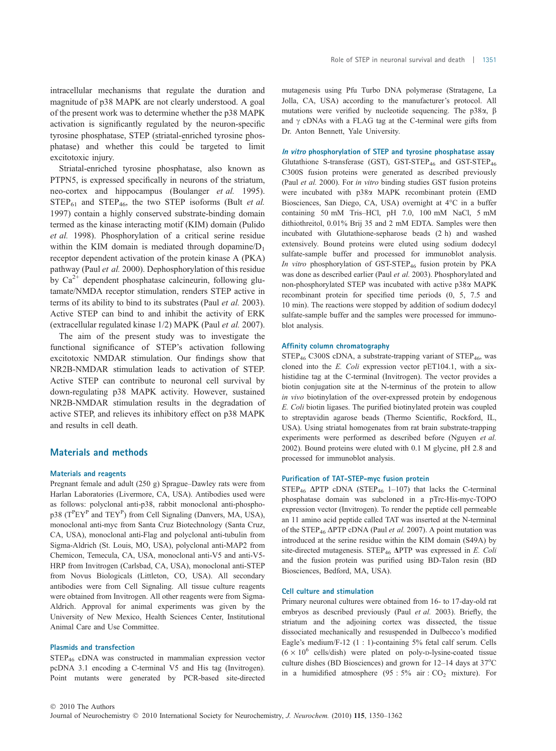intracellular mechanisms that regulate the duration and magnitude of p38 MAPK are not clearly understood. A goal of the present work was to determine whether the p38 MAPK activation is significantly regulated by the neuron-specific tyrosine phosphatase, STEP (striatal-enriched tyrosine phosphatase) and whether this could be targeted to limit excitotoxic injury.

Striatal-enriched tyrosine phosphatase, also known as PTPN5, is expressed specifically in neurons of the striatum, neo-cortex and hippocampus (Boulanger et al. 1995).  $STEP_{61}$  and  $STEP_{46}$ , the two STEP isoforms (Bult *et al.*) 1997) contain a highly conserved substrate-binding domain termed as the kinase interacting motif (KIM) domain (Pulido et al. 1998). Phosphorylation of a critical serine residue within the KIM domain is mediated through dopamine/ $D_1$ receptor dependent activation of the protein kinase A (PKA) pathway (Paul et al. 2000). Dephosphorylation of this residue by  $Ca^{2+}$  dependent phosphatase calcineurin, following glutamate/NMDA receptor stimulation, renders STEP active in terms of its ability to bind to its substrates (Paul et al. 2003). Active STEP can bind to and inhibit the activity of ERK (extracellular regulated kinase 1/2) MAPK (Paul et al. 2007).

The aim of the present study was to investigate the functional significance of STEP's activation following excitotoxic NMDAR stimulation. Our findings show that NR2B-NMDAR stimulation leads to activation of STEP. Active STEP can contribute to neuronal cell survival by down-regulating p38 MAPK activity. However, sustained NR2B-NMDAR stimulation results in the degradation of active STEP, and relieves its inhibitory effect on p38 MAPK and results in cell death.

#### Materials and methods

#### Materials and reagents

Pregnant female and adult (250 g) Sprague–Dawley rats were from Harlan Laboratories (Livermore, CA, USA). Antibodies used were as follows: polyclonal anti-p38, rabbit monoclonal anti-phosphop38 (T<sup>P</sup>EY<sup>P</sup> and TEY<sup>P</sup>) from Cell Signaling (Danvers, MA, USA), monoclonal anti-myc from Santa Cruz Biotechnology (Santa Cruz, CA, USA), monoclonal anti-Flag and polyclonal anti-tubulin from Sigma-Aldrich (St. Louis, MO, USA), polyclonal anti-MAP2 from Chemicon, Temecula, CA, USA, monoclonal anti-V5 and anti-V5- HRP from Invitrogen (Carlsbad, CA, USA), monoclonal anti-STEP from Novus Biologicals (Littleton, CO, USA). All secondary antibodies were from Cell Signaling. All tissue culture reagents were obtained from Invitrogen. All other reagents were from Sigma-Aldrich. Approval for animal experiments was given by the University of New Mexico, Health Sciences Center, Institutional Animal Care and Use Committee.

#### Plasmids and transfection

STEP<sup>46</sup> cDNA was constructed in mammalian expression vector pcDNA 3.1 encoding a C-terminal V5 and His tag (Invitrogen). Point mutants were generated by PCR-based site-directed mutagenesis using Pfu Turbo DNA polymerase (Stratagene, La Jolla, CA, USA) according to the manufacturer's protocol. All mutations were verified by nucleotide sequencing. The  $p38\alpha$ ,  $\beta$ and  $\gamma$  cDNAs with a FLAG tag at the C-terminal were gifts from Dr. Anton Bennett, Yale University.

In vitro phosphorylation of STEP and tyrosine phosphatase assay Glutathione S-transferase (GST), GST-STEP<sub>46</sub> and GST-STEP<sub>46</sub> C300S fusion proteins were generated as described previously (Paul et al. 2000). For in vitro binding studies GST fusion proteins were incubated with p38a MAPK recombinant protein (EMD Biosciences, San Diego, CA, USA) overnight at 4°C in a buffer containing 50 mM Tris–HCl, pH 7.0, 100 mM NaCl, 5 mM dithiothreitol, 0.01% Brij 35 and 2 mM EDTA. Samples were then incubated with Glutathione-sepharose beads (2 h) and washed extensively. Bound proteins were eluted using sodium dodecyl sulfate-sample buffer and processed for immunoblot analysis. In vitro phosphorylation of GST-STEP<sub>46</sub> fusion protein by PKA was done as described earlier (Paul et al. 2003). Phosphorylated and non-phosphorylated STEP was incubated with active p38a MAPK recombinant protein for specified time periods (0, 5, 7.5 and 10 min). The reactions were stopped by addition of sodium dodecyl sulfate-sample buffer and the samples were processed for immunoblot analysis.

#### Affinity column chromatography

 $STEP_{46}$  C300S cDNA, a substrate-trapping variant of  $STEP_{46}$ , was cloned into the E. Coli expression vector pET104.1, with a sixhistidine tag at the C-terminal (Invitrogen). The vector provides a biotin conjugation site at the N-terminus of the protein to allow in vivo biotinylation of the over-expressed protein by endogenous E. Coli biotin ligases. The purified biotinylated protein was coupled to streptavidin agarose beads (Thermo Scientific, Rockford, IL, USA). Using striatal homogenates from rat brain substrate-trapping experiments were performed as described before (Nguyen et al. 2002). Bound proteins were eluted with 0.1 M glycine, pH 2.8 and processed for immunoblot analysis.

#### Purification of TAT-STEP-myc fusion protein

STEP<sub>46</sub>  $\triangle$ PTP cDNA (STEP<sub>46</sub> 1–107) that lacks the C-terminal phosphatase domain was subcloned in a pTrc-His-myc-TOPO expression vector (Invitrogen). To render the peptide cell permeable an 11 amino acid peptide called TAT was inserted at the N-terminal of the STEP<sub>46</sub>  $\triangle$ PTP cDNA (Paul *et al.* 2007). A point mutation was introduced at the serine residue within the KIM domain (S49A) by site-directed mutagenesis. STEP<sub>46</sub>  $\triangle$ PTP was expressed in *E. Coli* and the fusion protein was purified using BD-Talon resin (BD Biosciences, Bedford, MA, USA).

#### Cell culture and stimulation

Primary neuronal cultures were obtained from 16- to 17-day-old rat embryos as described previously (Paul et al. 2003). Briefly, the striatum and the adjoining cortex was dissected, the tissue dissociated mechanically and resuspended in Dulbecco's modified Eagle's medium/F-12 (1 : 1)-containing 5% fetal calf serum. Cells  $(6 \times 10^6 \text{ cells/dish})$  were plated on poly-D-lysine-coated tissue culture dishes (BD Biosciences) and grown for  $12-14$  days at  $37^{\circ}$ C in a humidified atmosphere  $(95 : 5\%$  air :  $CO<sub>2</sub>$  mixture). For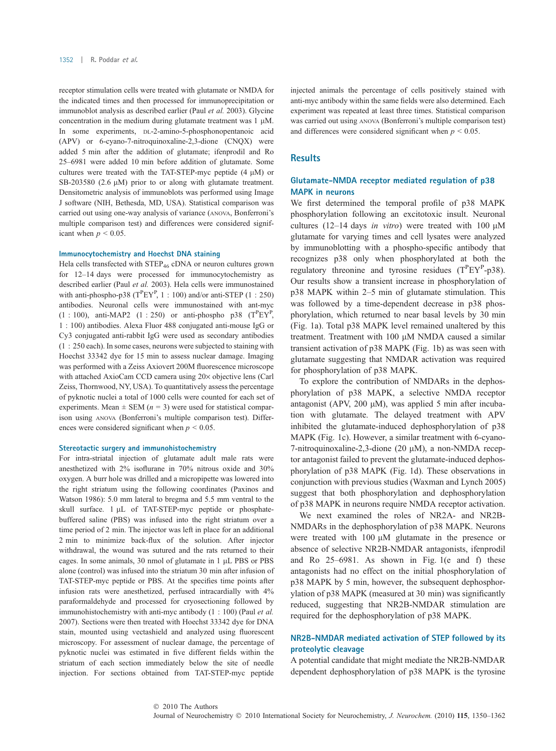receptor stimulation cells were treated with glutamate or NMDA for the indicated times and then processed for immunoprecipitation or immunoblot analysis as described earlier (Paul et al. 2003). Glycine concentration in the medium during glutamate treatment was  $1 \mu M$ . In some experiments, DL-2-amino-5-phosphonopentanoic acid (APV) or 6-cyano-7-nitroquinoxaline-2,3-dione (CNQX) were added 5 min after the addition of glutamate; ifenprodil and Ro 25–6981 were added 10 min before addition of glutamate. Some cultures were treated with the TAT-STEP-myc peptide  $(4 \mu M)$  or SB-203580 (2.6  $\mu$ M) prior to or along with glutamate treatment. Densitometric analysis of immunoblots was performed using Image J software (NIH, Bethesda, MD, USA). Statistical comparison was carried out using one-way analysis of variance (ANOVA, Bonferroni's multiple comparison test) and differences were considered significant when  $p < 0.05$ .

#### Immunocytochemistry and Hoechst DNA staining

Hela cells transfected with  $\text{STEP}_{46}$  cDNA or neuron cultures grown for 12–14 days were processed for immunocytochemistry as described earlier (Paul et al. 2003). Hela cells were immunostained with anti-phospho-p38 ( $T^P EY^P$ , 1 : 100) and/or anti-STEP (1 : 250) antibodies. Neuronal cells were immunostained with ant-myc  $(1:100)$ , anti-MAP2  $(1:250)$  or anti-phospho p38  $(T^{P}EY^{P})$ , 1 : 100) antibodies. Alexa Fluor 488 conjugated anti-mouse IgG or Cy3 conjugated anti-rabbit IgG were used as secondary antibodies (1 : 250 each). In some cases, neurons were subjected to staining with Hoechst 33342 dye for 15 min to assess nuclear damage. Imaging was performed with a Zeiss Axiovert 200M fluorescence microscope with attached AxioCam CCD camera using 20x objective lens (Carl Zeiss, Thornwood, NY, USA). To quantitatively assess the percentage of pyknotic nuclei a total of 1000 cells were counted for each set of experiments. Mean  $\pm$  SEM ( $n = 3$ ) were used for statistical comparison using ANOVA (Bonferroni's multiple comparison test). Differences were considered significant when  $p \le 0.05$ .

#### Stereotactic surgery and immunohistochemistry

For intra-striatal injection of glutamate adult male rats were anesthetized with 2% isoflurane in 70% nitrous oxide and 30% oxygen. A burr hole was drilled and a micropipette was lowered into the right striatum using the following coordinates (Paxinos and Watson 1986): 5.0 mm lateral to bregma and 5.5 mm ventral to the skull surface.  $1 \mu L$  of TAT-STEP-myc peptide or phosphatebuffered saline (PBS) was infused into the right striatum over a time period of 2 min. The injector was left in place for an additional 2 min to minimize back-flux of the solution. After injector withdrawal, the wound was sutured and the rats returned to their cages. In some animals,  $30$  nmol of glutamate in 1  $\mu$ L PBS or PBS alone (control) was infused into the striatum 30 min after infusion of TAT-STEP-myc peptide or PBS. At the specifies time points after infusion rats were anesthetized, perfused intracardially with 4% paraformaldehyde and processed for cryosectioning followed by immunohistochemistry with anti-myc antibody (1 : 100) (Paul et al. 2007). Sections were then treated with Hoechst 33342 dye for DNA stain, mounted using vectashield and analyzed using fluorescent microscopy. For assessment of nuclear damage, the percentage of pyknotic nuclei was estimated in five different fields within the striatum of each section immediately below the site of needle injection. For sections obtained from TAT-STEP-myc peptide

injected animals the percentage of cells positively stained with anti-myc antibody within the same fields were also determined. Each experiment was repeated at least three times. Statistical comparison was carried out using ANOVA (Bonferroni's multiple comparison test) and differences were considered significant when  $p \leq 0.05$ .

#### **Results**

## Glutamate-NMDA receptor mediated regulation of p38 MAPK in neurons

We first determined the temporal profile of p38 MAPK phosphorylation following an excitotoxic insult. Neuronal cultures (12-14 days in vitro) were treated with 100  $\mu$ M glutamate for varying times and cell lysates were analyzed by immunoblotting with a phospho-specific antibody that recognizes p38 only when phosphorylated at both the regulatory threonine and tyrosine residues  $(T^{P}EY^{P}-p38)$ . Our results show a transient increase in phosphorylation of p38 MAPK within 2–5 min of glutamate stimulation. This was followed by a time-dependent decrease in p38 phosphorylation, which returned to near basal levels by 30 min (Fig. 1a). Total p38 MAPK level remained unaltered by this treatment. Treatment with 100  $\mu$ M NMDA caused a similar transient activation of p38 MAPK (Fig. 1b) as was seen with glutamate suggesting that NMDAR activation was required for phosphorylation of p38 MAPK.

To explore the contribution of NMDARs in the dephosphorylation of p38 MAPK, a selective NMDA receptor antagonist (APV, 200  $\mu$ M), was applied 5 min after incubation with glutamate. The delayed treatment with APV inhibited the glutamate-induced dephosphorylation of p38 MAPK (Fig. 1c). However, a similar treatment with 6-cyano-7-nitroquinoxaline-2,3-dione (20  $\mu$ M), a non-NMDA receptor antagonist failed to prevent the glutamate-induced dephosphorylation of p38 MAPK (Fig. 1d). These observations in conjunction with previous studies (Waxman and Lynch 2005) suggest that both phosphorylation and dephosphorylation of p38 MAPK in neurons require NMDA receptor activation.

We next examined the roles of NR2A- and NR2B-NMDARs in the dephosphorylation of p38 MAPK. Neurons were treated with  $100 \mu M$  glutamate in the presence or absence of selective NR2B-NMDAR antagonists, ifenprodil and Ro 25–6981. As shown in Fig. 1(e and f) these antagonists had no effect on the initial phosphorylation of p38 MAPK by 5 min, however, the subsequent dephosphorylation of p38 MAPK (measured at 30 min) was significantly reduced, suggesting that NR2B-NMDAR stimulation are required for the dephosphorylation of p38 MAPK.

## NR2B-NMDAR mediated activation of STEP followed by its proteolytic cleavage

A potential candidate that might mediate the NR2B-NMDAR dependent dephosphorylation of p38 MAPK is the tyrosine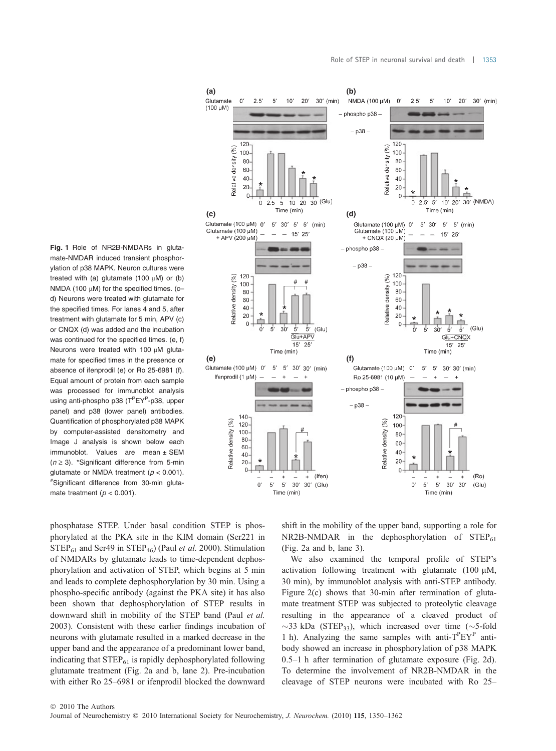っょ

 $\overline{a}$  $10$  $20'$   $30'$  (min)

 $\overline{0}$ 

Fig. 1 Role of NR2B-NMDARs in glutamate-NMDAR induced transient phosphorylation of p38 MAPK. Neuron cultures were treated with (a) glutamate (100  $\mu$ M) or (b) NMDA (100  $\mu$ M) for the specified times. (c– d) Neurons were treated with glutamate for the specified times. For lanes 4 and 5, after treatment with glutamate for 5 min, APV (c) or CNQX (d) was added and the incubation was continued for the specified times. (e, f) Neurons were treated with 100  $\mu$ M glutamate for specified times in the presence or absence of ifenprodil (e) or Ro 25-6981 (f). Equal amount of protein from each sample was processed for immunoblot analysis using anti-phospho p38 (T<sup>P</sup>EY<sup>P</sup>-p38, upper panel) and p38 (lower panel) antibodies. Quantification of phosphorylated p38 MAPK by computer-assisted densitometry and Image J analysis is shown below each immunoblot. Values are mean ± SEM  $(n \geq 3)$ . \*Significant difference from 5-min glutamate or NMDA treatment ( $p < 0.001$ ). #Significant difference from 30-min glutamate treatment ( $p < 0.001$ ).

 $(100 \text{ uM})$ - phospho p38  $- 0.38 120$ 120 Relative density (%)  $(%)$ 100 100 Relative density  $80$ 80 60 60 40  $40$  $20$  $\overline{20}$  $\overline{a}$ 5 10 20 30 (Glu) 10' 20' 30' (NMDA)  $\ddot{\rm{o}}$  $\overline{0}$  $2.5' 5'$  $2.5$ Time (min) **(c) (d)** Glutamate (100 μM) 0' 5' 30' 5' 5' (min) Glutamate (100 µM) Glutamate (100 uM)  $\overline{\phantom{a}}$  $15'$  25  $15'$  25  $+$  APV (200 µM + CNQX (20 µM) - phospho p38 - $-$  p38  $-$ 120 120 Relative density (%) Relative density (%)  $100$ 100 80  $80$ 60 60 40  $40$ 20  $20$  $\sqrt{ }$  $\Omega$  $\overline{5'}$  (Glu)  $\overline{5'}$  $(G|u)$  $\sigma$  $\overline{5}$  $30^{\circ}$  $\vec{r}$ ň 5  $30^{\circ}$  $\bar{5}'$  $\overline{Glu+APV}$ Glu+CNQX  $15'$  25  $15'$  25  $Time (min)$ Time (min) **(e) (f)** 5' 5' 30' 30' (min) Ifenprodil (1 µM)  $\sim$  $\overline{1}$ Ro 25-6981 (10 µM)  $\overline{1}$ - phospho p38 - $- p38 -$ 120  $140$ Relative density (%) Relative density (%)  $120$ 100  $100$  $80$ 80 60  $60$ 40  $40$ 20 20  $\Omega$  $\overline{0}$ (Ifen)  $(Ro)$  $\overline{1}$  $\Omega$  $5^{\circ}$  $5'$ 30' 30' (Glu)  $\mathbf{0}$  $5'$  $5'$  $30'$  $30'$  $(G|u)$ Time (min) Time (min)

**(a) (b)**

 $25$  $\overline{5}$ 

phosphatase STEP. Under basal condition STEP is phosphorylated at the PKA site in the KIM domain (Ser221 in  $STEP_{61}$  and Ser49 in  $STEP_{46}$ ) (Paul *et al.* 2000). Stimulation of NMDARs by glutamate leads to time-dependent dephosphorylation and activation of STEP, which begins at 5 min and leads to complete dephosphorylation by 30 min. Using a phospho-specific antibody (against the PKA site) it has also been shown that dephosphorylation of STEP results in downward shift in mobility of the STEP band (Paul et al. 2003). Consistent with these earlier findings incubation of neurons with glutamate resulted in a marked decrease in the upper band and the appearance of a predominant lower band, indicating that  $STEP_{61}$  is rapidly dephosphorylated following glutamate treatment (Fig. 2a and b, lane 2). Pre-incubation with either Ro 25–6981 or ifenprodil blocked the downward

shift in the mobility of the upper band, supporting a role for  $NR2B-NMDAR$  in the dephosphorylation of  $STEP_{61}$ (Fig. 2a and b, lane 3).

We also examined the temporal profile of STEP's activation following treatment with glutamate  $(100 \mu M,$ 30 min), by immunoblot analysis with anti-STEP antibody. Figure 2(c) shows that 30-min after termination of glutamate treatment STEP was subjected to proteolytic cleavage resulting in the appearance of a cleaved product of  $\sim$ 33 kDa (STEP<sub>33</sub>), which increased over time ( $\sim$ 5-fold 1 h). Analyzing the same samples with anti-T<sup>P</sup>EY<sup>P</sup> antibody showed an increase in phosphorylation of p38 MAPK 0.5–1 h after termination of glutamate exposure (Fig. 2d). To determine the involvement of NR2B-NMDAR in the cleavage of STEP neurons were incubated with Ro 25–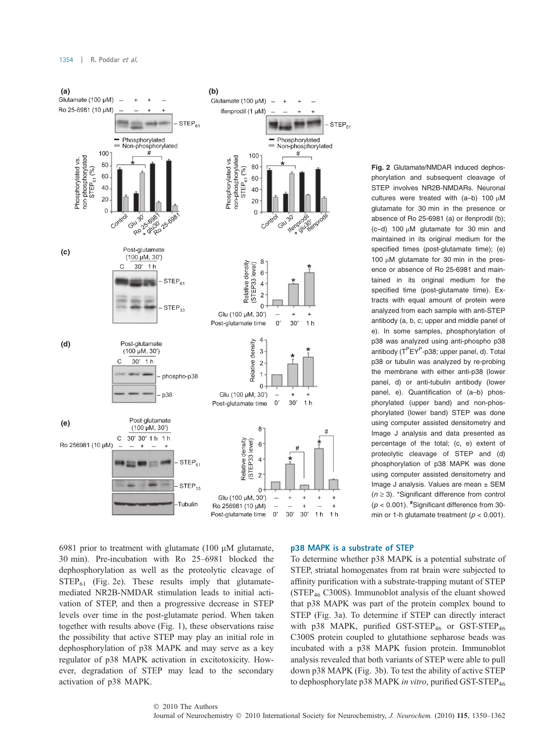

6981 prior to treatment with glutamate (100  $\mu$ M glutamate, 30 min). Pre-incubation with Ro 25–6981 blocked the dephosphorylation as well as the proteolytic cleavage of  $STEP_{61}$  (Fig. 2e). These results imply that glutamatemediated NR2B-NMDAR stimulation leads to initial activation of STEP, and then a progressive decrease in STEP levels over time in the post-glutamate period. When taken together with results above (Fig. 1), these observations raise the possibility that active STEP may play an initial role in dephosphorylation of p38 MAPK and may serve as a key regulator of p38 MAPK activation in excitotoxicity. However, degradation of STEP may lead to the secondary activation of p38 MAPK.

Fig. 2 Glutamate/NMDAR induced dephosphorylation and subsequent cleavage of STEP involves NR2B-NMDARs. Neuronal cultures were treated with  $(a-b)$  100  $\mu$ M glutamate for 30 min in the presence or absence of Ro 25-6981 (a) or ifenprodil (b);  $(c-d)$  100  $\mu$ M glutamate for 30 min and maintained in its original medium for the specified times (post-glutamate time); (e) 100  $\mu$ M glutamate for 30 min in the presence or absence of Ro 25-6981 and maintained in its original medium for the specified time (post-glutamate time). Extracts with equal amount of protein were analyzed from each sample with anti-STEP antibody (a, b, c; upper and middle panel of e). In some samples, phosphorylation of p38 was analyzed using anti-phospho p38 antibody (T<sup>P</sup>EY<sup>P</sup>-p38; upper panel, d). Total p38 or tubulin was analyzed by re-probing the membrane with either anti-p38 (lower panel, d) or anti-tubulin antibody (lower panel, e). Quantification of (a–b) phosphorylated (upper band) and non-phosphorylated (lower band) STEP was done using computer assisted densitometry and Image J analysis and data presented as percentage of the total; (c, e) extent of proteolytic cleavage of STEP and (d) phosphorylation of p38 MAPK was done using computer assisted densitometry and Image J analysis. Values are mean ± SEM  $(n \ge 3)$ . \*Significant difference from control  $(p < 0.001)$ . #Significant difference from 30min or 1-h glutamate treatment ( $p < 0.001$ ).

## p38 MAPK is a substrate of STEP

To determine whether p38 MAPK is a potential substrate of STEP, striatal homogenates from rat brain were subjected to affinity purification with a substrate-trapping mutant of STEP ( $STEP<sub>46</sub>$  C300S). Immunoblot analysis of the eluant showed that p38 MAPK was part of the protein complex bound to STEP (Fig. 3a). To determine if STEP can directly interact with p38 MAPK, purified GST-STEP<sub>46</sub> or GST-STEP<sub>46</sub> C300S protein coupled to glutathione sepharose beads was incubated with a p38 MAPK fusion protein. Immunoblot analysis revealed that both variants of STEP were able to pull down p38 MAPK (Fig. 3b). To test the ability of active STEP to dephosphorylate p38 MAPK in vitro, purified GST-STEP<sub>46</sub>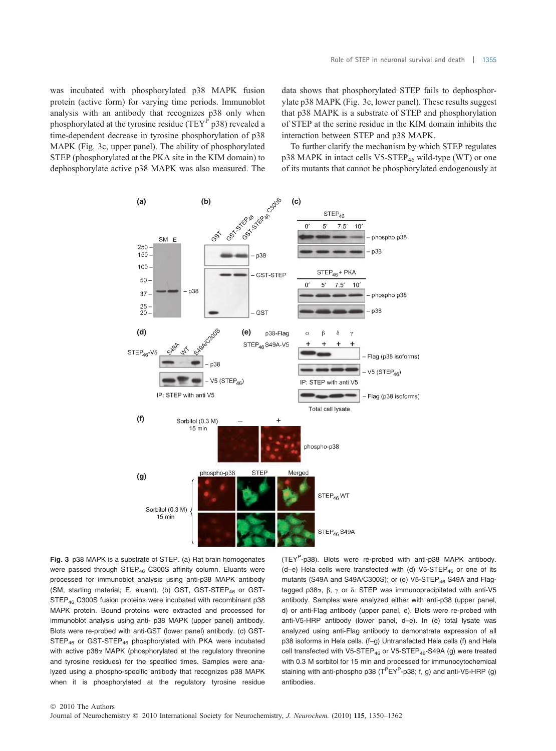was incubated with phosphorylated p38 MAPK fusion protein (active form) for varying time periods. Immunoblot analysis with an antibody that recognizes p38 only when phosphorylated at the tyrosine residue (TEY $^{\text{P}}$  p38) revealed a time-dependent decrease in tyrosine phosphorylation of p38 MAPK (Fig. 3c, upper panel). The ability of phosphorylated STEP (phosphorylated at the PKA site in the KIM domain) to dephosphorylate active p38 MAPK was also measured. The data shows that phosphorylated STEP fails to dephosphorylate p38 MAPK (Fig. 3c, lower panel). These results suggest that p38 MAPK is a substrate of STEP and phosphorylation of STEP at the serine residue in the KIM domain inhibits the interaction between STEP and p38 MAPK.

To further clarify the mechanism by which STEP regulates  $p38$  MAPK in intact cells V5-STEP<sub>46</sub> wild-type (WT) or one of its mutants that cannot be phosphorylated endogenously at



Fig. 3 p38 MAPK is a substrate of STEP. (a) Rat brain homogenates were passed through  $STEP_{46}$  C300S affinity column. Eluants were processed for immunoblot analysis using anti-p38 MAPK antibody (SM, starting material; E, eluant). (b) GST, GST-STEP<sub>46</sub> or GST-STEP<sup>46</sup> C300S fusion proteins were incubated with recombinant p38 MAPK protein. Bound proteins were extracted and processed for immunoblot analysis using anti- p38 MAPK (upper panel) antibody. Blots were re-probed with anti-GST (lower panel) antibody. (c) GST-STEP<sub>46</sub> or GST-STEP<sub>46</sub> phosphorylated with PKA were incubated with active p38α MAPK (phosphorylated at the regulatory threonine and tyrosine residues) for the specified times. Samples were analyzed using a phospho-specific antibody that recognizes p38 MAPK when it is phosphorylated at the regulatory tyrosine residue

(TEY<sup>P</sup>-p38). Blots were re-probed with anti-p38 MAPK antibody. (d-e) Hela cells were transfected with (d) V5-STEP<sub>46</sub> or one of its mutants (S49A and S49A/C300S); or (e) V5-STEP<sub>46</sub> S49A and Flagtagged p38 $\alpha$ ,  $\beta$ ,  $\gamma$  or  $\delta$ . STEP was immunoprecipitated with anti-V5 antibody. Samples were analyzed either with anti-p38 (upper panel, d) or anti-Flag antibody (upper panel, e). Blots were re-probed with anti-V5-HRP antibody (lower panel, d–e). In (e) total lysate was analyzed using anti-Flag antibody to demonstrate expression of all p38 isoforms in Hela cells. (f–g) Untransfected Hela cells (f) and Hela cell transfected with V5-STEP<sub>46</sub> or V5-STEP<sub>46</sub>-S49A (g) were treated with 0.3 M sorbitol for 15 min and processed for immunocytochemical staining with anti-phospho p38 ( $T^P EY^P$ -p38; f, g) and anti-V5-HRP (g) antibodies.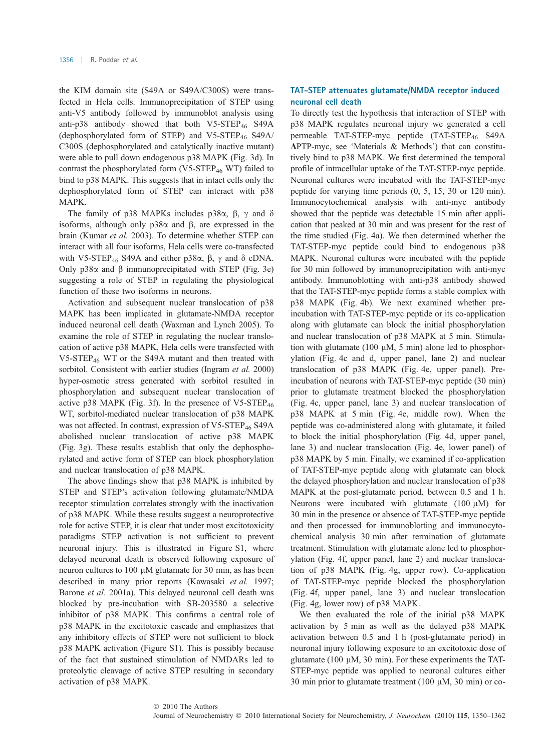the KIM domain site (S49A or S49A/C300S) were transfected in Hela cells. Immunoprecipitation of STEP using anti-V5 antibody followed by immunoblot analysis using anti-p38 antibody showed that both  $V5-STEP_{46}$  S49A (dephosphorylated form of STEP) and V5-STEP<sub>46</sub> S49A/ C300S (dephosphorylated and catalytically inactive mutant) were able to pull down endogenous p38 MAPK (Fig. 3d). In contrast the phosphorylated form  $(V5-STEP_{46} WT)$  failed to bind to p38 MAPK. This suggests that in intact cells only the dephosphorylated form of STEP can interact with p38 MAPK.

The family of p38 MAPKs includes p38 $\alpha$ ,  $\beta$ ,  $\gamma$  and  $\delta$ isoforms, although only  $p38\alpha$  and  $\beta$ , are expressed in the brain (Kumar et al. 2003). To determine whether STEP can interact with all four isoforms, Hela cells were co-transfected with V5-STEP<sub>46</sub> S49A and either p38 $\alpha$ ,  $\beta$ ,  $\gamma$  and  $\delta$  cDNA. Only  $p38\alpha$  and  $\beta$  immunoprecipitated with STEP (Fig. 3e) suggesting a role of STEP in regulating the physiological function of these two isoforms in neurons.

Activation and subsequent nuclear translocation of p38 MAPK has been implicated in glutamate-NMDA receptor induced neuronal cell death (Waxman and Lynch 2005). To examine the role of STEP in regulating the nuclear translocation of active p38 MAPK, Hela cells were transfected with V5-STEP<sub>46</sub> WT or the S49A mutant and then treated with sorbitol. Consistent with earlier studies (Ingram et al. 2000) hyper-osmotic stress generated with sorbitol resulted in phosphorylation and subsequent nuclear translocation of active p38 MAPK (Fig. 3f). In the presence of  $V5\text{-}STEP_{46}$ WT, sorbitol-mediated nuclear translocation of p38 MAPK was not affected. In contrast, expression of  $V5\text{-}STEP_{46}$  S49A abolished nuclear translocation of active p38 MAPK (Fig. 3g). These results establish that only the dephosphorylated and active form of STEP can block phosphorylation and nuclear translocation of p38 MAPK.

The above findings show that p38 MAPK is inhibited by STEP and STEP's activation following glutamate/NMDA receptor stimulation correlates strongly with the inactivation of p38 MAPK. While these results suggest a neuroprotective role for active STEP, it is clear that under most excitotoxicity paradigms STEP activation is not sufficient to prevent neuronal injury. This is illustrated in Figure S1, where delayed neuronal death is observed following exposure of neuron cultures to 100 µM glutamate for 30 min, as has been described in many prior reports (Kawasaki et al. 1997; Barone et al. 2001a). This delayed neuronal cell death was blocked by pre-incubation with SB-203580 a selective inhibitor of p38 MAPK. This confirms a central role of p38 MAPK in the excitotoxic cascade and emphasizes that any inhibitory effects of STEP were not sufficient to block p38 MAPK activation (Figure S1). This is possibly because of the fact that sustained stimulation of NMDARs led to proteolytic cleavage of active STEP resulting in secondary activation of p38 MAPK.

## TAT-STEP attenuates glutamate/NMDA receptor induced neuronal cell death

To directly test the hypothesis that interaction of STEP with p38 MAPK regulates neuronal injury we generated a cell permeable TAT-STEP-myc peptide (TAT-STEP<sub>46</sub> S49A  $\Delta$ PTP-myc, see 'Materials & Methods') that can constitutively bind to p38 MAPK. We first determined the temporal profile of intracellular uptake of the TAT-STEP-myc peptide. Neuronal cultures were incubated with the TAT-STEP-myc peptide for varying time periods (0, 5, 15, 30 or 120 min). Immunocytochemical analysis with anti-myc antibody showed that the peptide was detectable 15 min after application that peaked at 30 min and was present for the rest of the time studied (Fig. 4a). We then determined whether the TAT-STEP-myc peptide could bind to endogenous p38 MAPK. Neuronal cultures were incubated with the peptide for 30 min followed by immunoprecipitation with anti-myc antibody. Immunoblotting with anti-p38 antibody showed that the TAT-STEP-myc peptide forms a stable complex with p38 MAPK (Fig. 4b). We next examined whether preincubation with TAT-STEP-myc peptide or its co-application along with glutamate can block the initial phosphorylation and nuclear translocation of p38 MAPK at 5 min. Stimulation with glutamate (100  $\mu$ M, 5 min) alone led to phosphorylation (Fig. 4c and d, upper panel, lane 2) and nuclear translocation of p38 MAPK (Fig. 4e, upper panel). Preincubation of neurons with TAT-STEP-myc peptide (30 min) prior to glutamate treatment blocked the phosphorylation (Fig. 4c, upper panel, lane 3) and nuclear translocation of p38 MAPK at 5 min (Fig. 4e, middle row). When the peptide was co-administered along with glutamate, it failed to block the initial phosphorylation (Fig. 4d, upper panel, lane 3) and nuclear translocation (Fig. 4e, lower panel) of p38 MAPK by 5 min. Finally, we examined if co-application of TAT-STEP-myc peptide along with glutamate can block the delayed phosphorylation and nuclear translocation of p38 MAPK at the post-glutamate period, between 0.5 and 1 h. Neurons were incubated with glutamate  $(100 \mu M)$  for 30 min in the presence or absence of TAT-STEP-myc peptide and then processed for immunoblotting and immunocytochemical analysis 30 min after termination of glutamate treatment. Stimulation with glutamate alone led to phosphorylation (Fig. 4f, upper panel, lane 2) and nuclear translocation of p38 MAPK (Fig. 4g, upper row). Co-application of TAT-STEP-myc peptide blocked the phosphorylation (Fig. 4f, upper panel, lane 3) and nuclear translocation (Fig. 4g, lower row) of p38 MAPK.

We then evaluated the role of the initial p38 MAPK activation by 5 min as well as the delayed p38 MAPK activation between 0.5 and 1 h (post-glutamate period) in neuronal injury following exposure to an excitotoxic dose of glutamate (100  $\mu$ M, 30 min). For these experiments the TAT-STEP-myc peptide was applied to neuronal cultures either 30 min prior to glutamate treatment (100  $\mu$ M, 30 min) or co-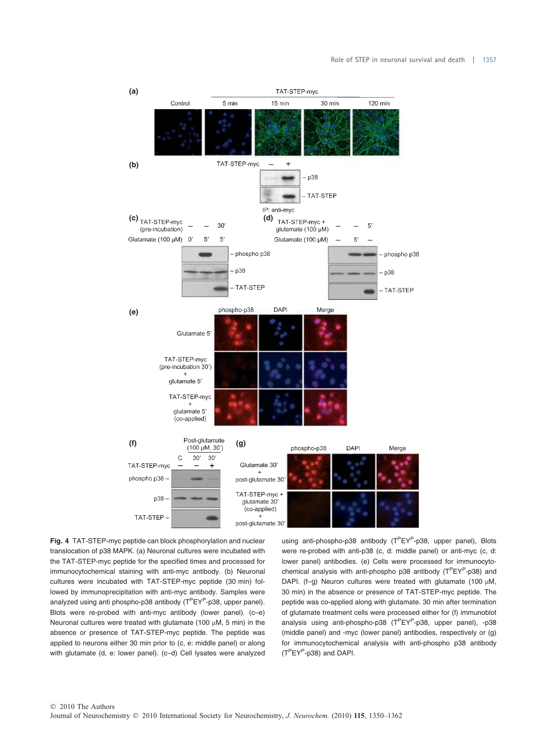

Fig. 4 TAT-STEP-myc peptide can block phosphorylation and nuclear translocation of p38 MAPK. (a) Neuronal cultures were incubated with the TAT-STEP-myc peptide for the specified times and processed for immunocytochemical staining with anti-myc antibody. (b) Neuronal cultures were incubated with TAT-STEP-myc peptide (30 min) followed by immunoprecipitation with anti-myc antibody. Samples were analyzed using anti phospho-p38 antibody (T<sup>P</sup>EY<sup>P</sup>-p38, upper panel). Blots were re-probed with anti-myc antibody (lower panel). (c–e) Neuronal cultures were treated with glutamate (100  $\mu$ M, 5 min) in the absence or presence of TAT-STEP-myc peptide. The peptide was applied to neurons either 30 min prior to (c, e: middle panel) or along with glutamate (d, e: lower panel). (c-d) Cell lysates were analyzed

using anti-phospho-p38 antibody (T<sup>P</sup>EY<sup>P</sup>-p38, upper panel), Blots were re-probed with anti-p38 (c, d: middle panel) or anti-myc (c, d: lower panel) antibodies. (e) Cells were processed for immunocytochemical analysis with anti-phospho p38 antibody (T<sup>P</sup>EY<sup>P</sup>-p38) and DAPI. (f-q) Neuron cultures were treated with glutamate (100  $\mu$ M, 30 min) in the absence or presence of TAT-STEP-myc peptide. The peptide was co-applied along with glutamate. 30 min after termination of glutamate treatment cells were processed either for (f) immunoblot analysis using anti-phospho-p38 (T<sup>P</sup>EY<sup>P</sup>-p38, upper panel), -p38 (middle panel) and -myc (lower panel) antibodies, respectively or (g) for immunocytochemical analysis with anti-phospho p38 antibody (TPEY<sup>P</sup> -p38) and DAPI.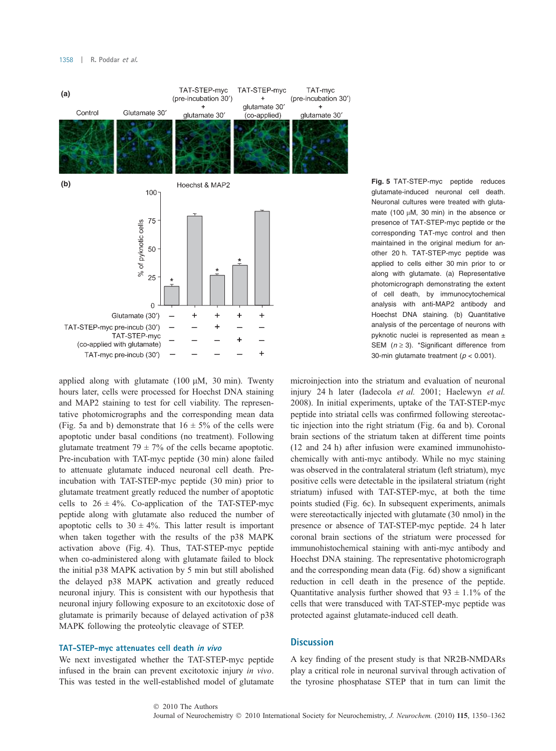

glutamate-induced neuronal cell death. Neuronal cultures were treated with glutamate (100  $\mu$ M, 30 min) in the absence or presence of TAT-STEP-myc peptide or the corresponding TAT-myc control and then maintained in the original medium for another 20 h. TAT-STEP-myc peptide was applied to cells either 30 min prior to or along with glutamate. (a) Representative photomicrograph demonstrating the extent of cell death, by immunocytochemical analysis with anti-MAP2 antibody and Hoechst DNA staining. (b) Quantitative analysis of the percentage of neurons with pyknotic nuclei is represented as mean ± SEM  $(n \ge 3)$ . \*Significant difference from 30-min glutamate treatment ( $p < 0.001$ ).

applied along with glutamate  $(100 \mu M, 30 \text{ min})$ . Twenty hours later, cells were processed for Hoechst DNA staining and MAP2 staining to test for cell viability. The representative photomicrographs and the corresponding mean data (Fig. 5a and b) demonstrate that  $16 \pm 5\%$  of the cells were apoptotic under basal conditions (no treatment). Following glutamate treatment  $79 \pm 7\%$  of the cells became apoptotic. Pre-incubation with TAT-myc peptide (30 min) alone failed to attenuate glutamate induced neuronal cell death. Preincubation with TAT-STEP-myc peptide (30 min) prior to glutamate treatment greatly reduced the number of apoptotic cells to  $26 \pm 4\%$ . Co-application of the TAT-STEP-myc peptide along with glutamate also reduced the number of apoptotic cells to  $30 \pm 4\%$ . This latter result is important when taken together with the results of the p38 MAPK activation above (Fig. 4). Thus, TAT-STEP-myc peptide when co-administered along with glutamate failed to block the initial p38 MAPK activation by 5 min but still abolished the delayed p38 MAPK activation and greatly reduced neuronal injury. This is consistent with our hypothesis that neuronal injury following exposure to an excitotoxic dose of glutamate is primarily because of delayed activation of p38 MAPK following the proteolytic cleavage of STEP.

## TAT-STEP-myc attenuates cell death in vivo

We next investigated whether the TAT-STEP-myc peptide infused in the brain can prevent excitotoxic injury in vivo. This was tested in the well-established model of glutamate microinjection into the striatum and evaluation of neuronal injury 24 h later (Iadecola et al. 2001; Haelewyn et al. 2008). In initial experiments, uptake of the TAT-STEP-myc peptide into striatal cells was confirmed following stereotactic injection into the right striatum (Fig. 6a and b). Coronal brain sections of the striatum taken at different time points (12 and 24 h) after infusion were examined immunohistochemically with anti-myc antibody. While no myc staining was observed in the contralateral striatum (left striatum), myc positive cells were detectable in the ipsilateral striatum (right striatum) infused with TAT-STEP-myc, at both the time points studied (Fig. 6c). In subsequent experiments, animals were stereotactically injected with glutamate (30 nmol) in the presence or absence of TAT-STEP-myc peptide. 24 h later coronal brain sections of the striatum were processed for immunohistochemical staining with anti-myc antibody and Hoechst DNA staining. The representative photomicrograph and the corresponding mean data (Fig. 6d) show a significant reduction in cell death in the presence of the peptide. Quantitative analysis further showed that  $93 \pm 1.1\%$  of the cells that were transduced with TAT-STEP-myc peptide was protected against glutamate-induced cell death.

### **Discussion**

A key finding of the present study is that NR2B-NMDARs play a critical role in neuronal survival through activation of the tyrosine phosphatase STEP that in turn can limit the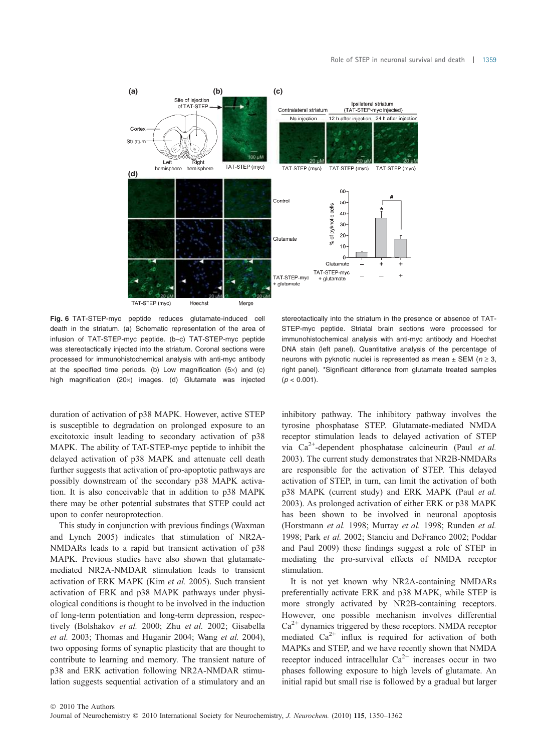

TAT-STEP (myc) Hoechst Merge

Fig. 6 TAT-STEP-myc peptide reduces glutamate-induced cell death in the striatum. (a) Schematic representation of the area of infusion of TAT-STEP-myc peptide. (b–c) TAT-STEP-myc peptide was stereotactically injected into the striatum. Coronal sections were processed for immunohistochemical analysis with anti-myc antibody at the specified time periods. (b) Low magnification  $(5x)$  and  $(c)$ high magnification (20x) images. (d) Glutamate was injected

stereotactically into the striatum in the presence or absence of TAT-STEP-myc peptide. Striatal brain sections were processed for immunohistochemical analysis with anti-myc antibody and Hoechst DNA stain (left panel). Quantitative analysis of the percentage of neurons with pyknotic nuclei is represented as mean  $\pm$  SEM ( $n \ge 3$ , right panel). \*Significant difference from glutamate treated samples  $(p < 0.001)$ .

duration of activation of p38 MAPK. However, active STEP is susceptible to degradation on prolonged exposure to an excitotoxic insult leading to secondary activation of p38 MAPK. The ability of TAT-STEP-myc peptide to inhibit the delayed activation of p38 MAPK and attenuate cell death further suggests that activation of pro-apoptotic pathways are possibly downstream of the secondary p38 MAPK activation. It is also conceivable that in addition to p38 MAPK there may be other potential substrates that STEP could act upon to confer neuroprotection.

This study in conjunction with previous findings (Waxman and Lynch 2005) indicates that stimulation of NR2A-NMDARs leads to a rapid but transient activation of p38 MAPK. Previous studies have also shown that glutamatemediated NR2A-NMDAR stimulation leads to transient activation of ERK MAPK (Kim et al. 2005). Such transient activation of ERK and p38 MAPK pathways under physiological conditions is thought to be involved in the induction of long-term potentiation and long-term depression, respectively (Bolshakov et al. 2000; Zhu et al. 2002; Gisabella et al. 2003; Thomas and Huganir 2004; Wang et al. 2004), two opposing forms of synaptic plasticity that are thought to contribute to learning and memory. The transient nature of p38 and ERK activation following NR2A-NMDAR stimulation suggests sequential activation of a stimulatory and an

inhibitory pathway. The inhibitory pathway involves the tyrosine phosphatase STEP. Glutamate-mediated NMDA receptor stimulation leads to delayed activation of STEP via  $Ca^{2+}$ -dependent phosphatase calcineurin (Paul *et al.*) 2003). The current study demonstrates that NR2B-NMDARs are responsible for the activation of STEP. This delayed activation of STEP, in turn, can limit the activation of both p38 MAPK (current study) and ERK MAPK (Paul et al. 2003). As prolonged activation of either ERK or p38 MAPK has been shown to be involved in neuronal apoptosis (Horstmann et al. 1998; Murray et al. 1998; Runden et al. 1998; Park et al. 2002; Stanciu and DeFranco 2002; Poddar and Paul 2009) these findings suggest a role of STEP in mediating the pro-survival effects of NMDA receptor stimulation.

It is not yet known why NR2A-containing NMDARs preferentially activate ERK and p38 MAPK, while STEP is more strongly activated by NR2B-containing receptors. However, one possible mechanism involves differential  $Ca<sup>2+</sup>$  dynamics triggered by these receptors. NMDA receptor mediated  $Ca^{2+}$  influx is required for activation of both MAPKs and STEP, and we have recently shown that NMDA receptor induced intracellular  $Ca^{2+}$  increases occur in two phases following exposure to high levels of glutamate. An initial rapid but small rise is followed by a gradual but larger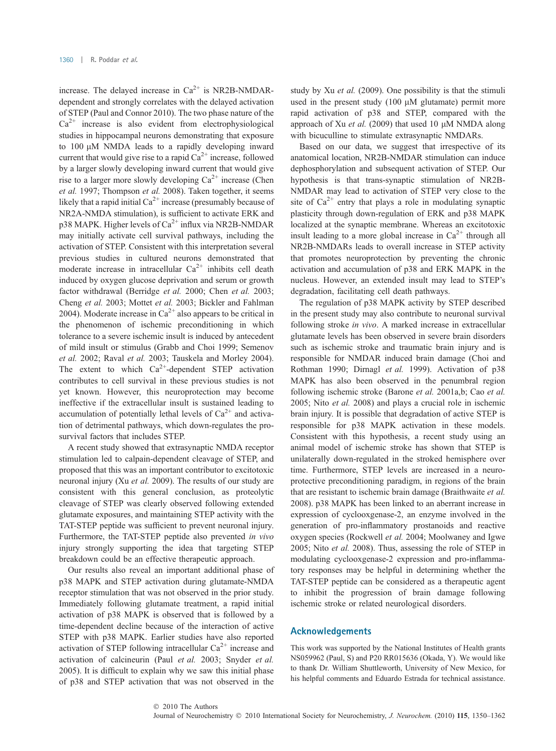increase. The delayed increase in  $Ca^{2+}$  is NR2B-NMDARdependent and strongly correlates with the delayed activation of STEP (Paul and Connor 2010). The two phase nature of the  $Ca<sup>2+</sup>$  increase is also evident from electrophysiological studies in hippocampal neurons demonstrating that exposure to 100 µM NMDA leads to a rapidly developing inward current that would give rise to a rapid  $Ca^{2+}$  increase, followed by a larger slowly developing inward current that would give rise to a larger more slowly developing  $Ca^{2+}$  increase (Chen et al. 1997; Thompson et al. 2008). Taken together, it seems likely that a rapid initial  $Ca^{2+}$  increase (presumably because of NR2A-NMDA stimulation), is sufficient to activate ERK and  $p38$  MAPK. Higher levels of  $Ca^{2+}$  influx via NR2B-NMDAR may initially activate cell survival pathways, including the activation of STEP. Consistent with this interpretation several previous studies in cultured neurons demonstrated that moderate increase in intracellular  $Ca^{2+}$  inhibits cell death induced by oxygen glucose deprivation and serum or growth factor withdrawal (Berridge et al. 2000; Chen et al. 2003; Cheng et al. 2003; Mottet et al. 2003; Bickler and Fahlman 2004). Moderate increase in  $Ca^{2+}$  also appears to be critical in the phenomenon of ischemic preconditioning in which tolerance to a severe ischemic insult is induced by antecedent of mild insult or stimulus (Grabb and Choi 1999; Semenov et al. 2002; Raval et al. 2003; Tauskela and Morley 2004). The extent to which  $Ca^{2+}$ -dependent STEP activation contributes to cell survival in these previous studies is not yet known. However, this neuroprotection may become ineffective if the extracellular insult is sustained leading to accumulation of potentially lethal levels of  $Ca^{2+}$  and activation of detrimental pathways, which down-regulates the prosurvival factors that includes STEP.

A recent study showed that extrasynaptic NMDA receptor stimulation led to calpain-dependent cleavage of STEP, and proposed that this was an important contributor to excitotoxic neuronal injury (Xu et al. 2009). The results of our study are consistent with this general conclusion, as proteolytic cleavage of STEP was clearly observed following extended glutamate exposures, and maintaining STEP activity with the TAT-STEP peptide was sufficient to prevent neuronal injury. Furthermore, the TAT-STEP peptide also prevented in vivo injury strongly supporting the idea that targeting STEP breakdown could be an effective therapeutic approach.

Our results also reveal an important additional phase of p38 MAPK and STEP activation during glutamate-NMDA receptor stimulation that was not observed in the prior study. Immediately following glutamate treatment, a rapid initial activation of p38 MAPK is observed that is followed by a time-dependent decline because of the interaction of active STEP with p38 MAPK. Earlier studies have also reported activation of STEP following intracellular  $Ca^{2+}$  increase and activation of calcineurin (Paul et al. 2003; Snyder et al. 2005). It is difficult to explain why we saw this initial phase of p38 and STEP activation that was not observed in the

study by Xu et al. (2009). One possibility is that the stimuli used in the present study  $(100 \mu M)$  glutamate) permit more rapid activation of p38 and STEP, compared with the approach of Xu et al. (2009) that used 10 µM NMDA along with bicuculline to stimulate extrasynaptic NMDARs.

Based on our data, we suggest that irrespective of its anatomical location, NR2B-NMDAR stimulation can induce dephosphorylation and subsequent activation of STEP. Our hypothesis is that trans-synaptic stimulation of NR2B-NMDAR may lead to activation of STEP very close to the site of  $Ca^{2+}$  entry that plays a role in modulating synaptic plasticity through down-regulation of ERK and p38 MAPK localized at the synaptic membrane. Whereas an excitotoxic insult leading to a more global increase in  $Ca^{2+}$  through all NR2B-NMDARs leads to overall increase in STEP activity that promotes neuroprotection by preventing the chronic activation and accumulation of p38 and ERK MAPK in the nucleus. However, an extended insult may lead to STEP's degradation, facilitating cell death pathways.

The regulation of p38 MAPK activity by STEP described in the present study may also contribute to neuronal survival following stroke in vivo. A marked increase in extracellular glutamate levels has been observed in severe brain disorders such as ischemic stroke and traumatic brain injury and is responsible for NMDAR induced brain damage (Choi and Rothman 1990; Dirnagl et al. 1999). Activation of p38 MAPK has also been observed in the penumbral region following ischemic stroke (Barone et al. 2001a,b; Cao et al. 2005; Nito et al. 2008) and plays a crucial role in ischemic brain injury. It is possible that degradation of active STEP is responsible for p38 MAPK activation in these models. Consistent with this hypothesis, a recent study using an animal model of ischemic stroke has shown that STEP is unilaterally down-regulated in the stroked hemisphere over time. Furthermore, STEP levels are increased in a neuroprotective preconditioning paradigm, in regions of the brain that are resistant to ischemic brain damage (Braithwaite et al. 2008). p38 MAPK has been linked to an aberrant increase in expression of cyclooxgenase-2, an enzyme involved in the generation of pro-inflammatory prostanoids and reactive oxygen species (Rockwell et al. 2004; Moolwaney and Igwe 2005; Nito et al. 2008). Thus, assessing the role of STEP in modulating cyclooxgenase-2 expression and pro-inflammatory responses may be helpful in determining whether the TAT-STEP peptide can be considered as a therapeutic agent to inhibit the progression of brain damage following ischemic stroke or related neurological disorders.

## Acknowledgements

This work was supported by the National Institutes of Health grants NS059962 (Paul, S) and P20 RR015636 (Okada, Y). We would like to thank Dr. William Shuttleworth, University of New Mexico, for his helpful comments and Eduardo Estrada for technical assistance.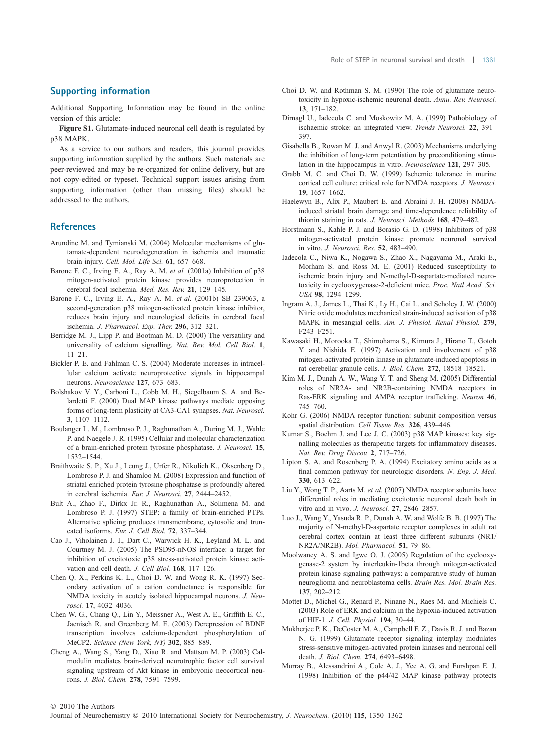## Supporting information

Additional Supporting Information may be found in the online version of this article:

Figure S1. Glutamate-induced neuronal cell death is regulated by p38 MAPK.

As a service to our authors and readers, this journal provides supporting information supplied by the authors. Such materials are peer-reviewed and may be re-organized for online delivery, but are not copy-edited or typeset. Technical support issues arising from supporting information (other than missing files) should be addressed to the authors.

## **References**

- Arundine M. and Tymianski M. (2004) Molecular mechanisms of glutamate-dependent neurodegeneration in ischemia and traumatic brain injury. Cell. Mol. Life Sci. 61, 657–668.
- Barone F. C., Irving E. A., Ray A. M. et al. (2001a) Inhibition of p38 mitogen-activated protein kinase provides neuroprotection in cerebral focal ischemia. Med. Res. Rev. 21, 129–145.
- Barone F. C., Irving E. A., Ray A. M. et al. (2001b) SB 239063, a second-generation p38 mitogen-activated protein kinase inhibitor, reduces brain injury and neurological deficits in cerebral focal ischemia. J. Pharmacol. Exp. Ther. 296, 312–321.
- Berridge M. J., Lipp P. and Bootman M. D. (2000) The versatility and universality of calcium signalling. Nat. Rev. Mol. Cell Biol. 1, 11–21.
- Bickler P. E. and Fahlman C. S. (2004) Moderate increases in intracellular calcium activate neuroprotective signals in hippocampal neurons. Neuroscience 127, 673–683.
- Bolshakov V. Y., Carboni L., Cobb M. H., Siegelbaum S. A. and Belardetti F. (2000) Dual MAP kinase pathways mediate opposing forms of long-term plasticity at CA3-CA1 synapses. Nat. Neurosci. 3, 1107–1112.
- Boulanger L. M., Lombroso P. J., Raghunathan A., During M. J., Wahle P. and Naegele J. R. (1995) Cellular and molecular characterization of a brain-enriched protein tyrosine phosphatase. J. Neurosci. 15, 1532–1544.
- Braithwaite S. P., Xu J., Leung J., Urfer R., Nikolich K., Oksenberg D., Lombroso P. J. and Shamloo M. (2008) Expression and function of striatal enriched protein tyrosine phosphatase is profoundly altered in cerebral ischemia. Eur. J. Neurosci. 27, 2444–2452.
- Bult A., Zhao F., Dirkx Jr. R., Raghunathan A., Solimena M. and Lombroso P. J. (1997) STEP: a family of brain-enriched PTPs. Alternative splicing produces transmembrane, cytosolic and truncated isoforms. Eur. J. Cell Biol. 72, 337–344.
- Cao J., Viholainen J. I., Dart C., Warwick H. K., Leyland M. L. and Courtney M. J. (2005) The PSD95-nNOS interface: a target for inhibition of excitotoxic p38 stress-activated protein kinase activation and cell death. J. Cell Biol. 168, 117–126.
- Chen Q. X., Perkins K. L., Choi D. W. and Wong R. K. (1997) Secondary activation of a cation conductance is responsible for NMDA toxicity in acutely isolated hippocampal neurons. J. Neurosci. 17, 4032–4036.
- Chen W. G., Chang Q., Lin Y., Meissner A., West A. E., Griffith E. C., Jaenisch R. and Greenberg M. E. (2003) Derepression of BDNF transcription involves calcium-dependent phosphorylation of MeCP2. Science (New York, NY) 302, 885–889.
- Cheng A., Wang S., Yang D., Xiao R. and Mattson M. P. (2003) Calmodulin mediates brain-derived neurotrophic factor cell survival signaling upstream of Akt kinase in embryonic neocortical neurons. J. Biol. Chem. 278, 7591–7599.
- Choi D. W. and Rothman S. M. (1990) The role of glutamate neurotoxicity in hypoxic-ischemic neuronal death. Annu. Rev. Neurosci. 13, 171–182.
- Dirnagl U., Iadecola C. and Moskowitz M. A. (1999) Pathobiology of ischaemic stroke: an integrated view. Trends Neurosci. 22, 391– 397.
- Gisabella B., Rowan M. J. and Anwyl R. (2003) Mechanisms underlying the inhibition of long-term potentiation by preconditioning stimulation in the hippocampus in vitro. Neuroscience 121, 297–305.
- Grabb M. C. and Choi D. W. (1999) Ischemic tolerance in murine cortical cell culture: critical role for NMDA receptors. J. Neurosci. 19, 1657–1662.
- Haelewyn B., Alix P., Maubert E. and Abraini J. H. (2008) NMDAinduced striatal brain damage and time-dependence reliability of thionin staining in rats. J. Neurosci. Methods 168, 479–482.
- Horstmann S., Kahle P. J. and Borasio G. D. (1998) Inhibitors of p38 mitogen-activated protein kinase promote neuronal survival in vitro. J. Neurosci. Res. 52, 483–490.
- Iadecola C., Niwa K., Nogawa S., Zhao X., Nagayama M., Araki E., Morham S. and Ross M. E. (2001) Reduced susceptibility to ischemic brain injury and N-methyl-D-aspartate-mediated neurotoxicity in cyclooxygenase-2-deficient mice. Proc. Natl Acad. Sci. USA 98, 1294–1299.
- Ingram A. J., James L., Thai K., Ly H., Cai L. and Scholey J. W. (2000) Nitric oxide modulates mechanical strain-induced activation of p38 MAPK in mesangial cells. Am. J. Physiol. Renal Physiol. 279, F243–F251.
- Kawasaki H., Morooka T., Shimohama S., Kimura J., Hirano T., Gotoh Y. and Nishida E. (1997) Activation and involvement of p38 mitogen-activated protein kinase in glutamate-induced apoptosis in rat cerebellar granule cells. J. Biol. Chem. 272, 18518–18521.
- Kim M. J., Dunah A. W., Wang Y. T. and Sheng M. (2005) Differential roles of NR2A- and NR2B-containing NMDA receptors in Ras-ERK signaling and AMPA receptor trafficking. Neuron 46, 745–760.
- Kohr G. (2006) NMDA receptor function: subunit composition versus spatial distribution. Cell Tissue Res. 326, 439–446.
- Kumar S., Boehm J. and Lee J. C. (2003) p38 MAP kinases: key signalling molecules as therapeutic targets for inflammatory diseases. Nat. Rev. Drug Discov. 2, 717–726.
- Lipton S. A. and Rosenberg P. A. (1994) Excitatory amino acids as a final common pathway for neurologic disorders. N. Eng. J. Med. 330, 613–622.
- Liu Y., Wong T. P., Aarts M. et al. (2007) NMDA receptor subunits have differential roles in mediating excitotoxic neuronal death both in vitro and in vivo. J. Neurosci. 27, 2846–2857.
- Luo J., Wang Y., Yasuda R. P., Dunah A. W. and Wolfe B. B. (1997) The majority of N-methyl-D-aspartate receptor complexes in adult rat cerebral cortex contain at least three different subunits (NR1/ NR2A/NR2B). Mol. Pharmacol. 51, 79–86.
- Moolwaney A. S. and Igwe O. J. (2005) Regulation of the cyclooxygenase-2 system by interleukin-1beta through mitogen-activated protein kinase signaling pathways: a comparative study of human neuroglioma and neuroblastoma cells. Brain Res. Mol. Brain Res. 137, 202–212.
- Mottet D., Michel G., Renard P., Ninane N., Raes M. and Michiels C. (2003) Role of ERK and calcium in the hypoxia-induced activation of HIF-1. J. Cell. Physiol. 194, 30–44.
- Mukherjee P. K., DeCoster M. A., Campbell F. Z., Davis R. J. and Bazan N. G. (1999) Glutamate receptor signaling interplay modulates stress-sensitive mitogen-activated protein kinases and neuronal cell death. J. Biol. Chem. 274, 6493–6498.
- Murray B., Alessandrini A., Cole A. J., Yee A. G. and Furshpan E. J. (1998) Inhibition of the p44/42 MAP kinase pathway protects